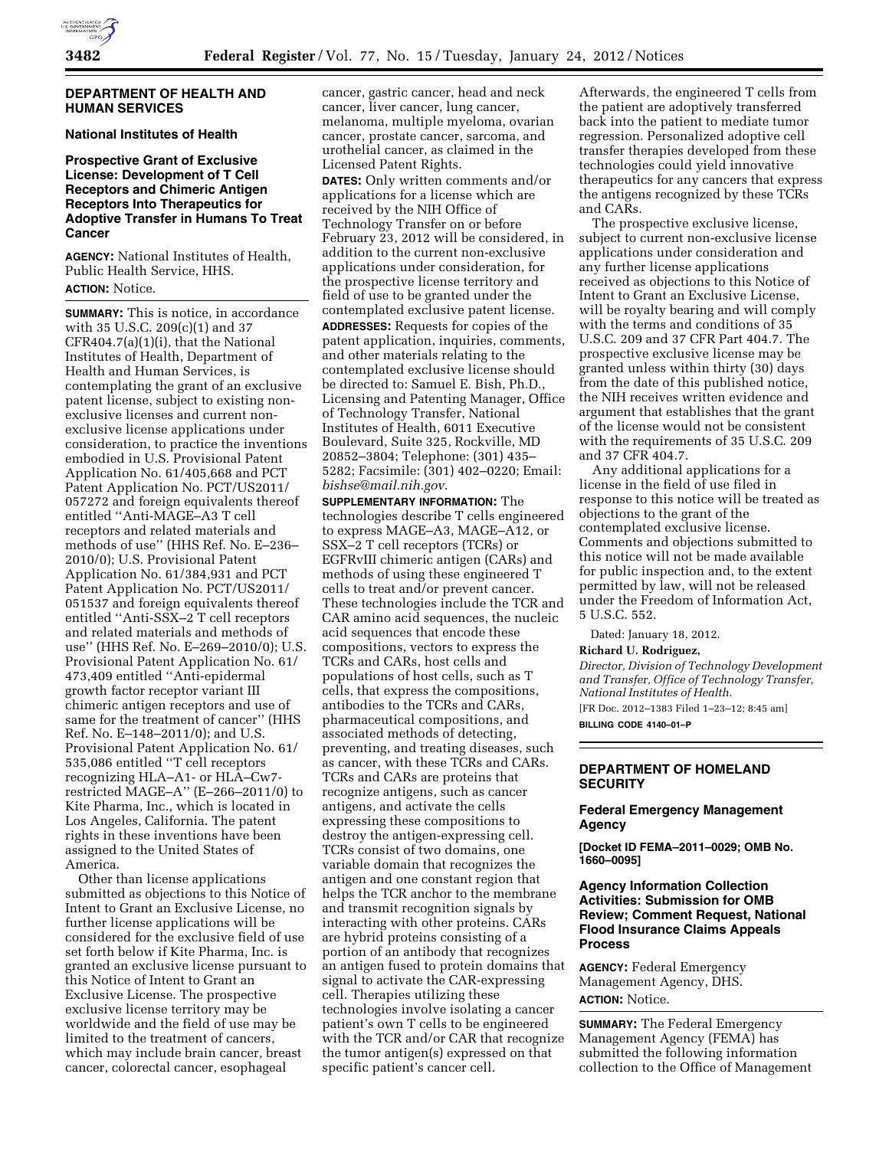### **DEPARTMENT OF HEALTH AND HUMAN SERVICES**

### **National Institutes of Health**

# **Prospective Grant of Exclusive License: Development of T Cell Receptors and Chimeric Antigen Receptors Into Therapeutics for Adoptive Transfer in Humans To Treat Cancer**

**AGENCY:** National Institutes of Health, Public Health Service, HHS. **ACTION:** Notice.

**SUMMARY:** This is notice, in accordance with 35 U.S.C. 209(c)(1) and 37 CFR404.7(a)(1)(i), that the National Institutes of Health, Department of Health and Human Services, is contemplating the grant of an exclusive patent license, subject to existing nonexclusive licenses and current nonexclusive license applications under consideration, to practice the inventions embodied in U.S. Provisional Patent Application No. 61/405,668 and PCT Patent Application No. PCT/US2011/ 057272 and foreign equivalents thereof entitled ''Anti-MAGE–A3 T cell receptors and related materials and methods of use'' (HHS Ref. No. E–236– 2010/0); U.S. Provisional Patent Application No. 61/384,931 and PCT Patent Application No. PCT/US2011/ 051537 and foreign equivalents thereof entitled ''Anti-SSX–2 T cell receptors and related materials and methods of use'' (HHS Ref. No. E–269–2010/0); U.S. Provisional Patent Application No. 61/ 473,409 entitled ''Anti-epidermal growth factor receptor variant III chimeric antigen receptors and use of same for the treatment of cancer'' (HHS Ref. No. E–148–2011/0); and U.S. Provisional Patent Application No. 61/ 535,086 entitled ''T cell receptors recognizing HLA–A1- or HLA–Cw7 restricted MAGE–A'' (E–266–2011/0) to Kite Pharma, Inc., which is located in Los Angeles, California. The patent rights in these inventions have been assigned to the United States of America.

Other than license applications submitted as objections to this Notice of Intent to Grant an Exclusive License, no further license applications will be considered for the exclusive field of use set forth below if Kite Pharma, Inc. is granted an exclusive license pursuant to this Notice of Intent to Grant an Exclusive License. The prospective exclusive license territory may be worldwide and the field of use may be limited to the treatment of cancers, which may include brain cancer, breast cancer, colorectal cancer, esophageal

cancer, gastric cancer, head and neck cancer, liver cancer, lung cancer, melanoma, multiple myeloma, ovarian cancer, prostate cancer, sarcoma, and urothelial cancer, as claimed in the Licensed Patent Rights. **DATES:** Only written comments and/or applications for a license which are received by the NIH Office of Technology Transfer on or before February 23, 2012 will be considered, in addition to the current non-exclusive applications under consideration, for the prospective license territory and field of use to be granted under the contemplated exclusive patent license. **ADDRESSES:** Requests for copies of the patent application, inquiries, comments, and other materials relating to the

contemplated exclusive license should be directed to: Samuel E. Bish, Ph.D., Licensing and Patenting Manager, Office of Technology Transfer, National Institutes of Health, 6011 Executive Boulevard, Suite 325, Rockville, MD 20852–3804; Telephone: (301) 435– 5282; Facsimile: (301) 402–0220; Email: *[bishse@mail.nih.gov](mailto:bishse@mail.nih.gov)*.

**SUPPLEMENTARY INFORMATION:** The technologies describe T cells engineered to express MAGE–A3, MAGE–A12, or SSX–2 T cell receptors (TCRs) or EGFRvIII chimeric antigen (CARs) and methods of using these engineered T cells to treat and/or prevent cancer. These technologies include the TCR and CAR amino acid sequences, the nucleic acid sequences that encode these compositions, vectors to express the TCRs and CARs, host cells and populations of host cells, such as T cells, that express the compositions, antibodies to the TCRs and CARs, pharmaceutical compositions, and associated methods of detecting, preventing, and treating diseases, such as cancer, with these TCRs and CARs. TCRs and CARs are proteins that recognize antigens, such as cancer antigens, and activate the cells expressing these compositions to destroy the antigen-expressing cell. TCRs consist of two domains, one variable domain that recognizes the antigen and one constant region that helps the TCR anchor to the membrane and transmit recognition signals by interacting with other proteins. CARs are hybrid proteins consisting of a portion of an antibody that recognizes an antigen fused to protein domains that signal to activate the CAR-expressing cell. Therapies utilizing these technologies involve isolating a cancer patient's own T cells to be engineered with the TCR and/or CAR that recognize the tumor antigen(s) expressed on that specific patient's cancer cell.

Afterwards, the engineered T cells from the patient are adoptively transferred back into the patient to mediate tumor regression. Personalized adoptive cell transfer therapies developed from these technologies could yield innovative therapeutics for any cancers that express the antigens recognized by these TCRs and CARs.

The prospective exclusive license, subject to current non-exclusive license applications under consideration and any further license applications received as objections to this Notice of Intent to Grant an Exclusive License, will be royalty bearing and will comply with the terms and conditions of 35 U.S.C. 209 and 37 CFR Part 404.7. The prospective exclusive license may be granted unless within thirty (30) days from the date of this published notice, the NIH receives written evidence and argument that establishes that the grant of the license would not be consistent with the requirements of 35 U.S.C. 209 and 37 CFR 404.7.

Any additional applications for a license in the field of use filed in response to this notice will be treated as objections to the grant of the contemplated exclusive license. Comments and objections submitted to this notice will not be made available for public inspection and, to the extent permitted by law, will not be released under the Freedom of Information Act, 5 U.S.C. 552.

Dated: January 18, 2012.

# **Richard U. Rodriguez,**

*Director, Division of Technology Development and Transfer, Office of Technology Transfer, National Institutes of Health.* 

[FR Doc. 2012–1383 Filed 1–23–12; 8:45 am] **BILLING CODE 4140–01–P** 

## **DEPARTMENT OF HOMELAND SECURITY**

### **Federal Emergency Management Agency**

**[Docket ID FEMA–2011–0029; OMB No. 1660–0095]** 

# **Agency Information Collection Activities: Submission for OMB Review; Comment Request, National Flood Insurance Claims Appeals Process**

**AGENCY:** Federal Emergency Management Agency, DHS. **ACTION:** Notice.

**SUMMARY:** The Federal Emergency Management Agency (FEMA) has submitted the following information collection to the Office of Management